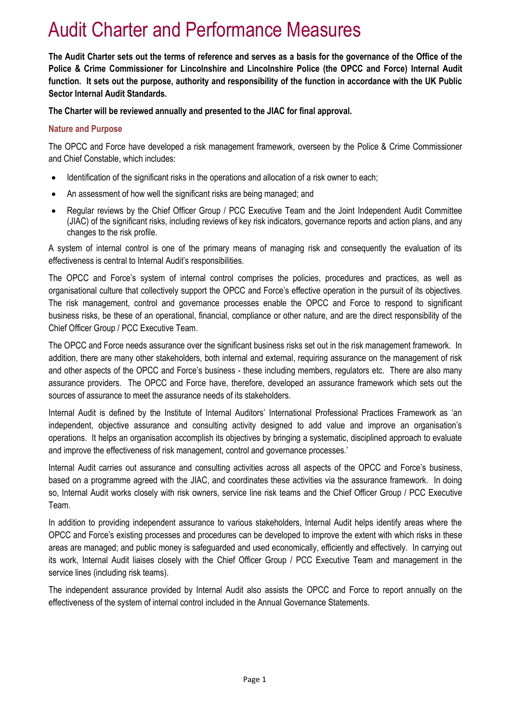# Audit Charter and Performance Measures

**The Audit Charter sets out the terms of reference and serves as a basis for the governance of the Office of the Police & Crime Commissioner for Lincolnshire and Lincolnshire Police (the OPCC and Force) Internal Audit function. It sets out the purpose, authority and responsibility of the function in accordance with the UK Public Sector Internal Audit Standards.**

**The Charter will be reviewed annually and presented to the JIAC for final approval.**

#### **Nature and Purpose**

The OPCC and Force have developed a risk management framework, overseen by the Police & Crime Commissioner and Chief Constable, which includes:

- Identification of the significant risks in the operations and allocation of a risk owner to each;
- An assessment of how well the significant risks are being managed; and
- Regular reviews by the Chief Officer Group / PCC Executive Team and the Joint Independent Audit Committee (JIAC) of the significant risks, including reviews of key risk indicators, governance reports and action plans, and any changes to the risk profile.

A system of internal control is one of the primary means of managing risk and consequently the evaluation of its effectiveness is central to Internal Audit's responsibilities.

The OPCC and Force's system of internal control comprises the policies, procedures and practices, as well as organisational culture that collectively support the OPCC and Force's effective operation in the pursuit of its objectives. The risk management, control and governance processes enable the OPCC and Force to respond to significant business risks, be these of an operational, financial, compliance or other nature, and are the direct responsibility of the Chief Officer Group / PCC Executive Team.

The OPCC and Force needs assurance over the significant business risks set out in the risk management framework. In addition, there are many other stakeholders, both internal and external, requiring assurance on the management of risk and other aspects of the OPCC and Force's business - these including members, regulators etc. There are also many assurance providers. The OPCC and Force have, therefore, developed an assurance framework which sets out the sources of assurance to meet the assurance needs of its stakeholders.

Internal Audit is defined by the Institute of Internal Auditors' International Professional Practices Framework as 'an independent, objective assurance and consulting activity designed to add value and improve an organisation's operations. It helps an organisation accomplish its objectives by bringing a systematic, disciplined approach to evaluate and improve the effectiveness of risk management, control and governance processes.'

Internal Audit carries out assurance and consulting activities across all aspects of the OPCC and Force's business, based on a programme agreed with the JIAC, and coordinates these activities via the assurance framework. In doing so, Internal Audit works closely with risk owners, service line risk teams and the Chief Officer Group / PCC Executive Team.

In addition to providing independent assurance to various stakeholders, Internal Audit helps identify areas where the OPCC and Force's existing processes and procedures can be developed to improve the extent with which risks in these areas are managed; and public money is safeguarded and used economically, efficiently and effectively. In carrying out its work, Internal Audit liaises closely with the Chief Officer Group / PCC Executive Team and management in the service lines (including risk teams).

The independent assurance provided by Internal Audit also assists the OPCC and Force to report annually on the effectiveness of the system of internal control included in the Annual Governance Statements.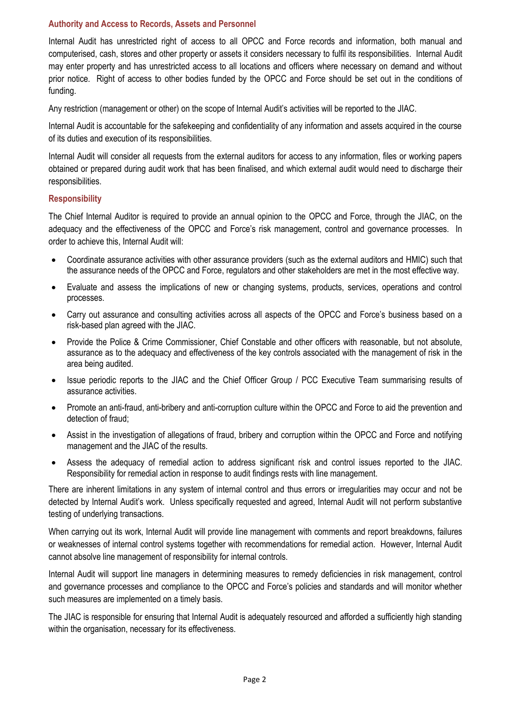## **Authority and Access to Records, Assets and Personnel**

Internal Audit has unrestricted right of access to all OPCC and Force records and information, both manual and computerised, cash, stores and other property or assets it considers necessary to fulfil its responsibilities. Internal Audit may enter property and has unrestricted access to all locations and officers where necessary on demand and without prior notice. Right of access to other bodies funded by the OPCC and Force should be set out in the conditions of funding.

Any restriction (management or other) on the scope of Internal Audit's activities will be reported to the JIAC.

Internal Audit is accountable for the safekeeping and confidentiality of any information and assets acquired in the course of its duties and execution of its responsibilities.

Internal Audit will consider all requests from the external auditors for access to any information, files or working papers obtained or prepared during audit work that has been finalised, and which external audit would need to discharge their responsibilities.

#### **Responsibility**

The Chief Internal Auditor is required to provide an annual opinion to the OPCC and Force, through the JIAC, on the adequacy and the effectiveness of the OPCC and Force's risk management, control and governance processes. In order to achieve this, Internal Audit will:

- Coordinate assurance activities with other assurance providers (such as the external auditors and HMIC) such that the assurance needs of the OPCC and Force, regulators and other stakeholders are met in the most effective way.
- Evaluate and assess the implications of new or changing systems, products, services, operations and control processes.
- Carry out assurance and consulting activities across all aspects of the OPCC and Force's business based on a risk-based plan agreed with the JIAC.
- Provide the Police & Crime Commissioner, Chief Constable and other officers with reasonable, but not absolute, assurance as to the adequacy and effectiveness of the key controls associated with the management of risk in the area being audited.
- Issue periodic reports to the JIAC and the Chief Officer Group / PCC Executive Team summarising results of assurance activities.
- Promote an anti-fraud, anti-bribery and anti-corruption culture within the OPCC and Force to aid the prevention and detection of fraud;
- Assist in the investigation of allegations of fraud, bribery and corruption within the OPCC and Force and notifying management and the JIAC of the results.
- Assess the adequacy of remedial action to address significant risk and control issues reported to the JIAC. Responsibility for remedial action in response to audit findings rests with line management.

There are inherent limitations in any system of internal control and thus errors or irregularities may occur and not be detected by Internal Audit's work. Unless specifically requested and agreed, Internal Audit will not perform substantive testing of underlying transactions.

When carrying out its work, Internal Audit will provide line management with comments and report breakdowns, failures or weaknesses of internal control systems together with recommendations for remedial action. However, Internal Audit cannot absolve line management of responsibility for internal controls.

Internal Audit will support line managers in determining measures to remedy deficiencies in risk management, control and governance processes and compliance to the OPCC and Force's policies and standards and will monitor whether such measures are implemented on a timely basis.

The JIAC is responsible for ensuring that Internal Audit is adequately resourced and afforded a sufficiently high standing within the organisation, necessary for its effectiveness.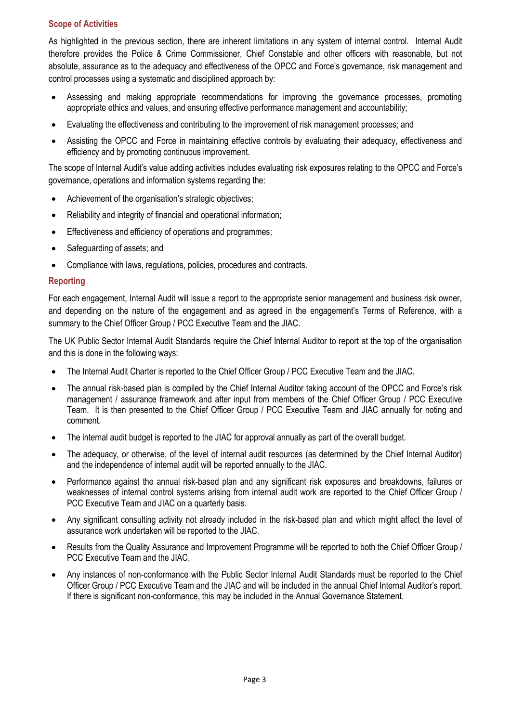## **Scope of Activities**

As highlighted in the previous section, there are inherent limitations in any system of internal control. Internal Audit therefore provides the Police & Crime Commissioner, Chief Constable and other officers with reasonable, but not absolute, assurance as to the adequacy and effectiveness of the OPCC and Force's governance, risk management and control processes using a systematic and disciplined approach by:

- Assessing and making appropriate recommendations for improving the governance processes, promoting appropriate ethics and values, and ensuring effective performance management and accountability;
- Evaluating the effectiveness and contributing to the improvement of risk management processes; and
- Assisting the OPCC and Force in maintaining effective controls by evaluating their adequacy, effectiveness and efficiency and by promoting continuous improvement.

The scope of Internal Audit's value adding activities includes evaluating risk exposures relating to the OPCC and Force's governance, operations and information systems regarding the:

- Achievement of the organisation's strategic objectives;
- Reliability and integrity of financial and operational information;
- Effectiveness and efficiency of operations and programmes;
- Safeguarding of assets; and
- Compliance with laws, regulations, policies, procedures and contracts.

## **Reporting**

For each engagement, Internal Audit will issue a report to the appropriate senior management and business risk owner, and depending on the nature of the engagement and as agreed in the engagement's Terms of Reference, with a summary to the Chief Officer Group / PCC Executive Team and the JIAC.

The UK Public Sector Internal Audit Standards require the Chief Internal Auditor to report at the top of the organisation and this is done in the following ways:

- The Internal Audit Charter is reported to the Chief Officer Group / PCC Executive Team and the JIAC.
- The annual risk-based plan is compiled by the Chief Internal Auditor taking account of the OPCC and Force's risk management / assurance framework and after input from members of the Chief Officer Group / PCC Executive Team. It is then presented to the Chief Officer Group / PCC Executive Team and JIAC annually for noting and comment.
- The internal audit budget is reported to the JIAC for approval annually as part of the overall budget.
- The adequacy, or otherwise, of the level of internal audit resources (as determined by the Chief Internal Auditor) and the independence of internal audit will be reported annually to the JIAC.
- Performance against the annual risk-based plan and any significant risk exposures and breakdowns, failures or weaknesses of internal control systems arising from internal audit work are reported to the Chief Officer Group / PCC Executive Team and JIAC on a quarterly basis.
- Any significant consulting activity not already included in the risk-based plan and which might affect the level of assurance work undertaken will be reported to the JIAC.
- Results from the Quality Assurance and Improvement Programme will be reported to both the Chief Officer Group / PCC Executive Team and the JIAC.
- Any instances of non-conformance with the Public Sector Internal Audit Standards must be reported to the Chief Officer Group / PCC Executive Team and the JIAC and will be included in the annual Chief Internal Auditor's report. If there is significant non-conformance, this may be included in the Annual Governance Statement.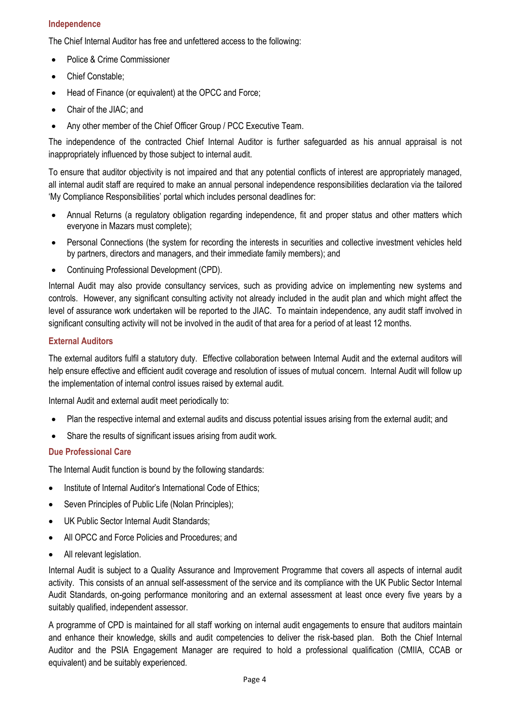## **Independence**

The Chief Internal Auditor has free and unfettered access to the following:

- Police & Crime Commissioner
- Chief Constable:
- Head of Finance (or equivalent) at the OPCC and Force;
- Chair of the JIAC: and
- Any other member of the Chief Officer Group / PCC Executive Team.

The independence of the contracted Chief Internal Auditor is further safeguarded as his annual appraisal is not inappropriately influenced by those subject to internal audit.

To ensure that auditor objectivity is not impaired and that any potential conflicts of interest are appropriately managed, all internal audit staff are required to make an annual personal independence responsibilities declaration via the tailored 'My Compliance Responsibilities' portal which includes personal deadlines for:

- Annual Returns (a regulatory obligation regarding independence, fit and proper status and other matters which everyone in Mazars must complete);
- Personal Connections (the system for recording the interests in securities and collective investment vehicles held by partners, directors and managers, and their immediate family members); and
- Continuing Professional Development (CPD).

Internal Audit may also provide consultancy services, such as providing advice on implementing new systems and controls. However, any significant consulting activity not already included in the audit plan and which might affect the level of assurance work undertaken will be reported to the JIAC. To maintain independence, any audit staff involved in significant consulting activity will not be involved in the audit of that area for a period of at least 12 months.

## **External Auditors**

The external auditors fulfil a statutory duty. Effective collaboration between Internal Audit and the external auditors will help ensure effective and efficient audit coverage and resolution of issues of mutual concern. Internal Audit will follow up the implementation of internal control issues raised by external audit.

Internal Audit and external audit meet periodically to:

- Plan the respective internal and external audits and discuss potential issues arising from the external audit; and
- Share the results of significant issues arising from audit work.

## **Due Professional Care**

The Internal Audit function is bound by the following standards:

- Institute of Internal Auditor's International Code of Ethics;
- Seven Principles of Public Life (Nolan Principles);
- UK Public Sector Internal Audit Standards;
- All OPCC and Force Policies and Procedures; and
- All relevant legislation.

Internal Audit is subject to a Quality Assurance and Improvement Programme that covers all aspects of internal audit activity. This consists of an annual self-assessment of the service and its compliance with the UK Public Sector Internal Audit Standards, on-going performance monitoring and an external assessment at least once every five years by a suitably qualified, independent assessor.

A programme of CPD is maintained for all staff working on internal audit engagements to ensure that auditors maintain and enhance their knowledge, skills and audit competencies to deliver the risk-based plan. Both the Chief Internal Auditor and the PSIA Engagement Manager are required to hold a professional qualification (CMIIA, CCAB or equivalent) and be suitably experienced.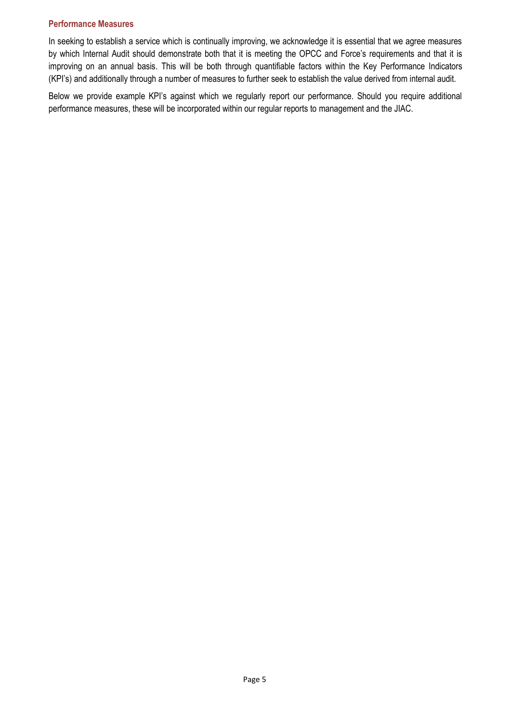#### **Performance Measures**

In seeking to establish a service which is continually improving, we acknowledge it is essential that we agree measures by which Internal Audit should demonstrate both that it is meeting the OPCC and Force's requirements and that it is improving on an annual basis. This will be both through quantifiable factors within the Key Performance Indicators (KPI's) and additionally through a number of measures to further seek to establish the value derived from internal audit.

Below we provide example KPI's against which we regularly report our performance. Should you require additional performance measures, these will be incorporated within our regular reports to management and the JIAC.